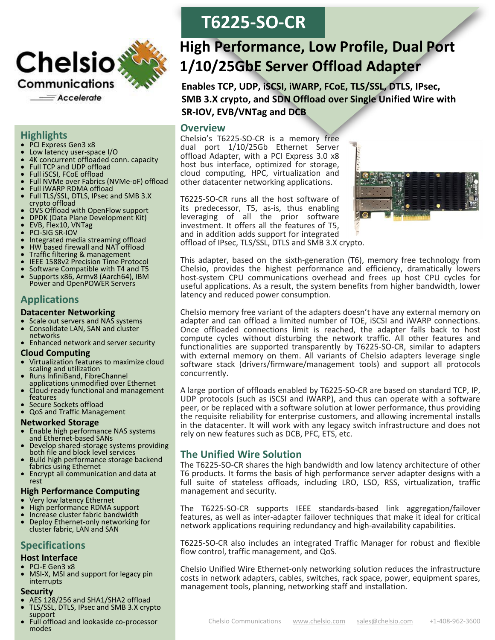

## **Highlights**

- PCI Express Gen3 x8
- Low latency user-space I/O
- 4K concurrent offloaded conn. capacity
- Full TCP and UDP offload
- Full iSCSI, FCoE offload
- Full NVMe over Fabrics (NVMe-oF) offload
- Full iWARP RDMA offload
- Full TLS/SSL, DTLS, IPsec and SMB 3.X crypto offload
- OVS Offload with OpenFlow support
- DPDK (Data Plane Development Kit)<br>• EVB Flex10 VNTag
- EVB, Flex10, VNTag
- PCI-SIG SR-IOV
- Integrated media streaming offload
- HW based firewall and NAT offload
- **Traffic filtering & management**<br>• **IFFE 1588v2 Precision Time Pro**
- **IEEE 1588v2 Precision Time Protocol**
- Software Compatible with T4 and T5
- Supports x86, Armv8 (Aarch64), IBM Power and OpenPOWER Servers

# **Applications**

### **Datacenter Networking**

- Scale out servers and NAS systems
- Consolidate LAN, SAN and cluster networks
- Enhanced network and server security

### **Cloud Computing**

- Virtualization features to maximize cloud scaling and utilization
- Runs InfiniBand, FibreChannel applications unmodified over Ethernet
- Cloud-ready functional and management features
- Secure Sockets offload
- QoS and Traffic Management

## **Networked Storage**

- Enable high performance NAS systems and Ethernet-based SANs
- Develop shared-storage systems providing both file and block level services
- Build high performance storage backend fabrics using Ethernet
- Encrypt all communication and data at rest

## **High Performance Computing**

- Very low latency Ethernet
- High performance RDMA support
- Increase cluster fabric bandwidth
- Deploy Ethernet-only networking for cluster fabric, LAN and SAN

# **Specifications**

## **Host Interface**

- PCI-E Gen3 x8
- MSI-X, MSI and support for legacy pin interrupts

### **Security**

- AES 128/256 and SHA1/SHA2 offload
- TLS/SSL, DTLS, IPsec and SMB 3.X crypto support
- Full offload and lookaside co-processor modes

# **T6225-SO-CR**

# **High Performance, Low Profile, Dual Port 1/10/25GbE Server Offload Adapter**

**Enables TCP, UDP, iSCSI, iWARP, FCoE, TLS/SSL, DTLS, IPsec, SMB 3.X crypto, and SDN Offload over Single Unified Wire with SR-IOV, EVB/VNTag and DCB**

## **Overview**

Chelsio's T6225-SO-CR is a memory free dual port 1/10/25Gb Ethernet Server offload Adapter, with a PCI Express 3.0 x8 host bus interface, optimized for storage, cloud computing, HPC, virtualization and other datacenter networking applications.

T6225-SO-CR runs all the host software of its predecessor, T5, as-is, thus enabling leveraging of all the prior software investment. It offers all the features of T5, and in addition adds support for integrated offload of IPsec, TLS/SSL, DTLS and SMB 3.X crypto.



This adapter, based on the sixth-generation (T6), memory free technology from Chelsio, provides the highest performance and efficiency, dramatically lowers host-system CPU communications overhead and frees up host CPU cycles for useful applications. As a result, the system benefits from higher bandwidth, lower latency and reduced power consumption.

Chelsio memory free variant of the adapters doesn't have any external memory on adapter and can offload a limited number of TOE, iSCSI and iWARP connections. Once offloaded connections limit is reached, the adapter falls back to host compute cycles without disturbing the network traffic. All other features and functionalities are supported transparently by T6225-SO-CR, similar to adapters with external memory on them. All variants of Chelsio adapters leverage single software stack (drivers/firmware/management tools) and support all protocols concurrently.

A large portion of offloads enabled by T6225-SO-CR are based on standard TCP, IP, UDP protocols (such as iSCSI and iWARP), and thus can operate with a software peer, or be replaced with a software solution at lower performance, thus providing the requisite reliability for enterprise customers, and allowing incremental installs in the datacenter. It will work with any legacy switch infrastructure and does not rely on new features such as DCB, PFC, ETS, etc.

# **The Unified Wire Solution**

The T6225-SO-CR shares the high bandwidth and low latency architecture of other T6 products. It forms the basis of high performance server adapter designs with a full suite of stateless offloads, including LRO, LSO, RSS, virtualization, traffic management and security.

The T6225-SO-CR supports IEEE standards-based link aggregation/failover features, as well as inter-adapter failover techniques that make it ideal for critical network applications requiring redundancy and high-availability capabilities.

T6225-SO-CR also includes an integrated Traffic Manager for robust and flexible flow control, traffic management, and QoS.

Chelsio Unified Wire Ethernet-only networking solution reduces the infrastructure costs in network adapters, cables, switches, rack space, power, equipment spares, management tools, planning, networking staff and installation.